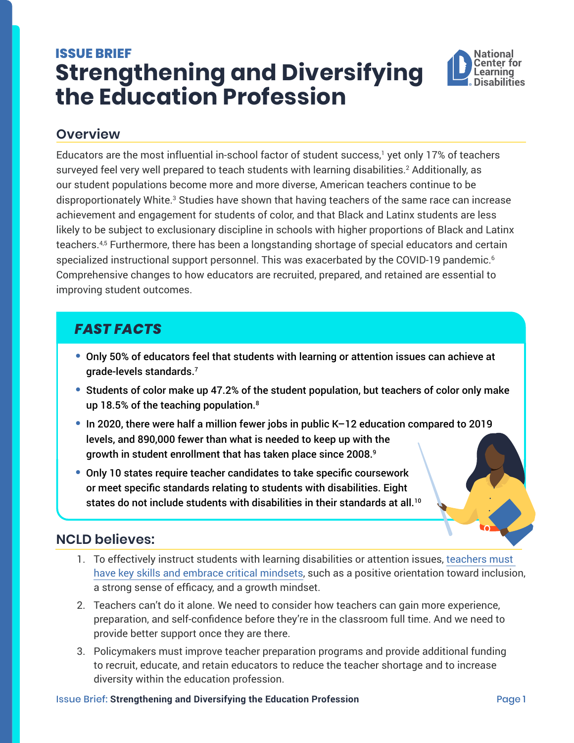# <span id="page-0-0"></span>**ISSUE BRIEF Strengthening and Diversifying the Education Profession**



#### **Overview**

Educators are the most influential in-school factor of student success,<sup>[1](#page-1-0)</sup> yet only 17% of teachers surveyed feel very well prepared to teach students with learning disabilities.[2](#page-1-0) Additionally, as our student populations become more and more diverse, American teachers continue to be disproportionately White. $^3$  $^3$  Studies have shown that having teachers of the same race can increase achievement and engagement for students of color, and that Black and Latinx students are less likely to be subject to exclusionary discipline in schools with higher proportions of Black and Latinx teachers.[4](#page-1-0),<sup>5</sup> Furthermore, there has been a longstanding shortage of special educators and certain specialized instructional support personnel. This was exacerbated by the COVID-19 pandemic.<sup>[6](#page-1-0)</sup> Comprehensive changes to how educators are recruited, prepared, and retained are essential to improving student outcomes.

## *FAST FACTS*

- **•** Only 50% of educators feel that students with learning or attention issues can achieve at grade-levels standards.[7](#page-1-0)
- **•** Students of color make up 47.2% of the student population, but teachers of color only make up 1[8](#page-1-0).5% of the teaching population.<sup>8</sup>
- **•** In 2020, there were half a million fewer jobs in public K–12 education compared to 2019 levels, and 890,000 fewer than what is needed to keep up with the growth in student enrollment that has taken place since 2008.[9](#page-1-0)
- **•** Only 10 states require teacher candidates to take specific coursework or meet specific standards relating to students with disabilities. Eight states do not include students with disabilities in their standards at all.<sup>10</sup>

#### **NCLD believes:**

- 1. To effectively instruct students with learning disabilities or attention issues, [teachers must](https://ncld.org/research/forward-together)  [have key skills and embrace critical mindsets,](https://ncld.org/research/forward-together) such as a positive orientation toward inclusion, a strong sense of efficacy, and a growth mindset.
- 2. Teachers can't do it alone. We need to consider how teachers can gain more experience, preparation, and self-confidence before they're in the classroom full time. And we need to provide better support once they are there.
- 3. Policymakers must improve teacher preparation programs and provide additional funding to recruit, educate, and retain educators to reduce the teacher shortage and to increase diversity within the education profession.

#### **Issue Brief: Strengthening and Diversifying the Education Profession Page 1 Page 1**